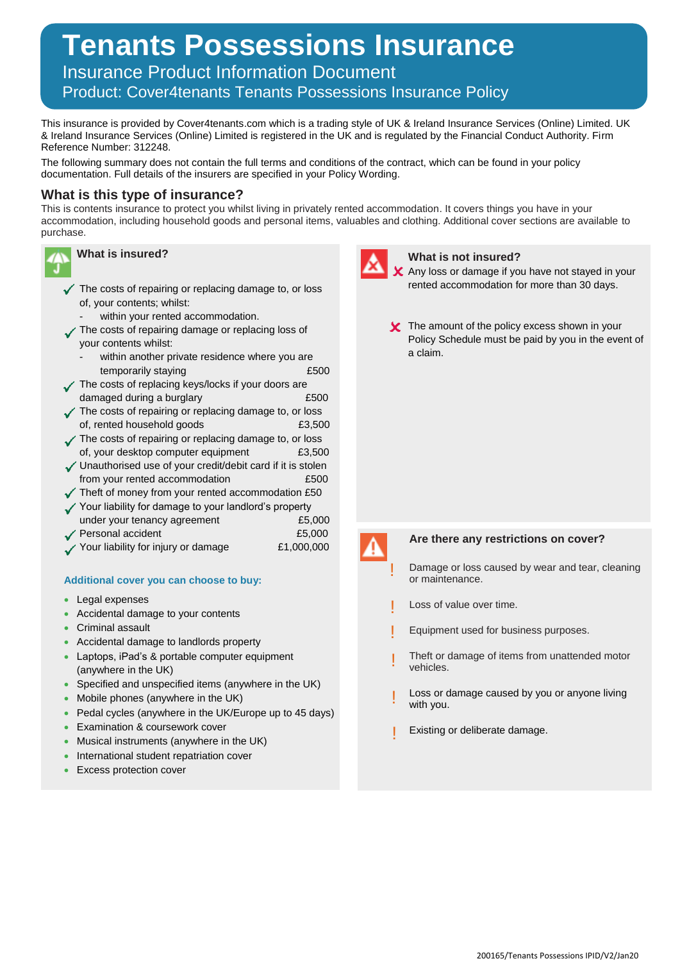# **Tenants Possessions Insurance**

Insurance Product Information Document

Product: Cover4tenants Tenants Possessions Insurance Policy

This insurance is provided by Cover4tenants.com which is a trading style of UK & Ireland Insurance Services (Online) Limited. UK & Ireland Insurance Services (Online) Limited is registered in the UK and is regulated by the Financial Conduct Authority. Firm Reference Number: 312248.

The following summary does not contain the full terms and conditions of the contract, which can be found in your policy documentation. Full details of the insurers are specified in your Policy Wording.

# **What is this type of insurance?**

This is contents insurance to protect you whilst living in privately rented accommodation. It covers things you have in your accommodation, including household goods and personal items, valuables and clothing. Additional cover sections are available to purchase.



- $\checkmark$  The costs of repairing or replacing damage to, or loss of, your contents; whilst:
	- within your rented accommodation.
- The costs of repairing damage or replacing loss of your contents whilst:
	- within another private residence where you are temporarily staying **E500**
- The costs of replacing keys/locks if your doors are damaged during a burglary **E500**
- The costs of repairing or replacing damage to, or loss of, rented household goods £3,500
- The costs of repairing or replacing damage to, or loss of, your desktop computer equipment E3,500
- Unauthorised use of your credit/debit card if it is stolen from your rented accommodation **£500**
- $\checkmark$  Theft of money from your rented accommodation £50
- Your liability for damage to your landlord's property under your tenancy agreement  $£5,000$
- ◆ Personal accident <br>
£5,000
- Your liability for injury or damage  $£1,000,000$

# **Additional cover you can choose to buy:**

- Legal expenses
- Accidental damage to your contents
- Criminal assault
- Accidental damage to landlords property
- Laptops, iPad's & portable computer equipment (anywhere in the UK)
- Specified and unspecified items (anywhere in the UK)
- Mobile phones (anywhere in the UK)
- Pedal cycles (anywhere in the UK/Europe up to 45 days)
- **Examination & coursework cover**
- Musical instruments (anywhere in the UK)
- International student repatriation cover
- **Excess protection cover**



## **What is not insured?**

- X Any loss or damage if you have not stayed in your rented accommodation for more than 30 days.
- **X** The amount of the policy excess shown in your Policy Schedule must be paid by you in the event of a claim.



!

!

!

!

# **Are there any restrictions on cover?**

- Damage or loss caused by wear and tear, cleaning or maintenance.
- Loss of value over time. !
- Equipment used for business purposes.
- Theft or damage of items from unattended motor vehicles.
- Loss or damage caused by you or anyone living with you.
- Existing or deliberate damage. !